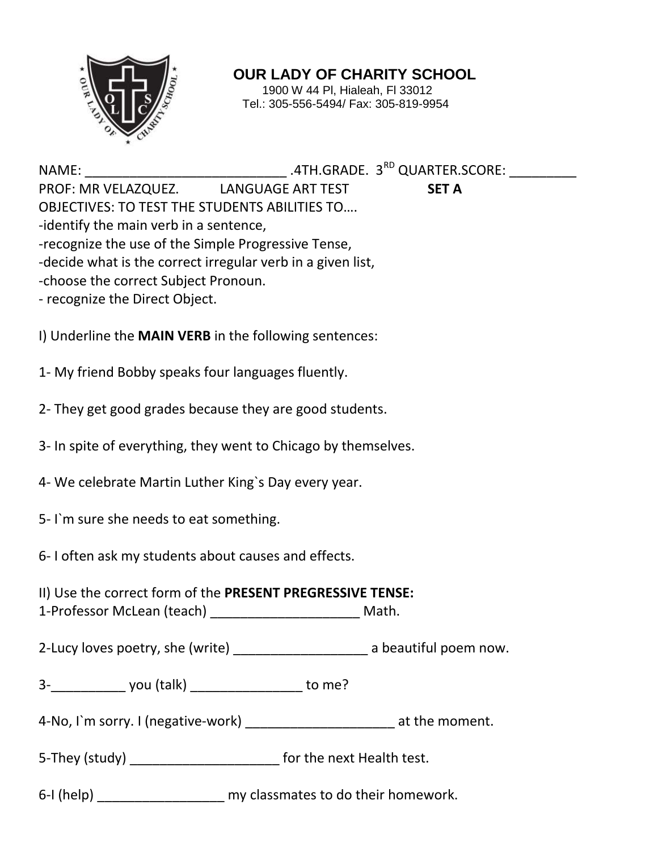

**OUR LADY OF CHARITY SCHOOL**

1900 W 44 Pl, Hialeah, Fl 33012 Tel.: 305-556-5494/ Fax: 305-819-9954

NAME: \_\_\_\_\_\_\_\_\_\_\_\_\_\_\_\_\_\_\_\_\_\_\_\_\_\_\_ .4TH.GRADE. 3RD QUARTER.SCORE: \_\_\_\_\_\_\_\_\_ PROF: MR VELAZQUEZ. LANGUAGE ART TEST **SET A** OBJECTIVES: TO TEST THE STUDENTS ABILITIES TO…. -identify the main verb in a sentence, -recognize the use of the Simple Progressive Tense, -decide what is the correct irregular verb in a given list, -choose the correct Subject Pronoun.

- recognize the Direct Object.

I) Underline the **MAIN VERB** in the following sentences:

1- My friend Bobby speaks four languages fluently.

2- They get good grades because they are good students.

- 3- In spite of everything, they went to Chicago by themselves.
- 4- We celebrate Martin Luther King`s Day every year.
- 5- I`m sure she needs to eat something.

6- I often ask my students about causes and effects.

II) Use the correct form of the **PRESENT PREGRESSIVE TENSE:**

1-Professor McLean (teach) \_\_\_\_\_\_\_\_\_\_\_\_\_\_\_\_\_\_\_\_ Math.

2-Lucy loves poetry, she (write) \_\_\_\_\_\_\_\_\_\_\_\_\_\_\_\_\_\_\_\_\_\_\_ a beautiful poem now.

3- you (talk) vou to me?

4-No, I`m sorry. I (negative-work) \_\_\_\_\_\_\_\_\_\_\_\_\_\_\_\_\_\_\_\_\_\_\_\_ at the moment.

5-They (study) \_\_\_\_\_\_\_\_\_\_\_\_\_\_\_\_\_\_\_\_\_\_\_\_\_\_\_\_ for the next Health test.

6-I (help) \_\_\_\_\_\_\_\_\_\_\_\_\_\_\_\_\_ my classmates to do their homework.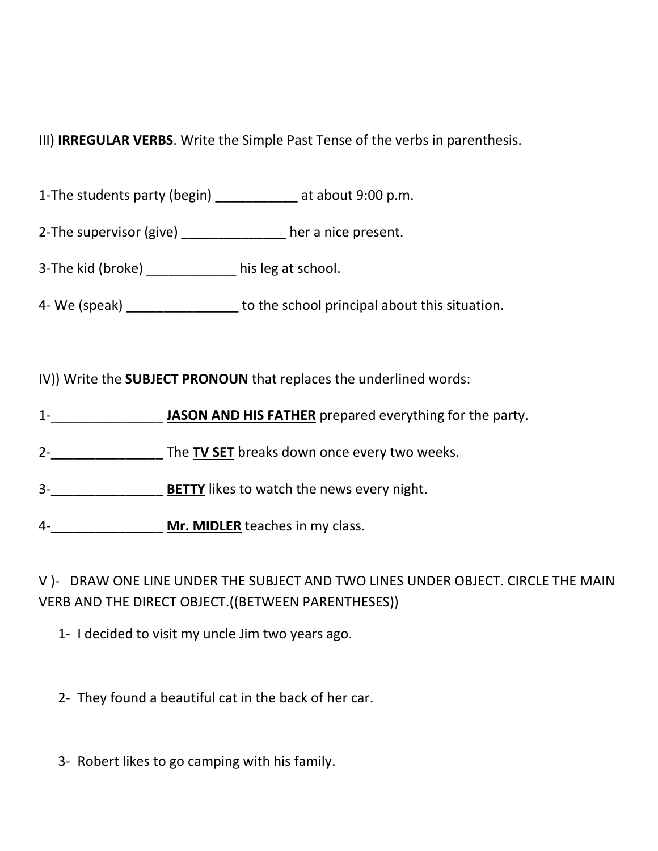## III) **IRREGULAR VERBS**. Write the Simple Past Tense of the verbs in parenthesis.

1-The students party (begin) \_\_\_\_\_\_\_\_\_\_\_ at about 9:00 p.m.

2-The supervisor (give) \_\_\_\_\_\_\_\_\_\_\_\_\_\_ her a nice present.

3-The kid (broke) his leg at school.

4- We (speak) \_\_\_\_\_\_\_\_\_\_\_\_\_\_\_ to the school principal about this situation.

IV)) Write the **SUBJECT PRONOUN** that replaces the underlined words:

1-\_\_\_\_\_\_\_\_\_\_\_\_\_\_\_ **JASON AND HIS FATHER** prepared everything for the party.

2-\_\_\_\_\_\_\_\_\_\_\_\_\_\_\_ The **TV SET** breaks down once every two weeks.

3-\_\_\_\_\_\_\_\_\_\_\_\_\_\_\_ **BETTY** likes to watch the news every night.

4-\_\_\_\_\_\_\_\_\_\_\_\_\_\_\_ **Mr. MIDLER** teaches in my class.

V )- DRAW ONE LINE UNDER THE SUBJECT AND TWO LINES UNDER OBJECT. CIRCLE THE MAIN VERB AND THE DIRECT OBJECT.((BETWEEN PARENTHESES))

1- I decided to visit my uncle Jim two years ago.

2- They found a beautiful cat in the back of her car.

3- Robert likes to go camping with his family.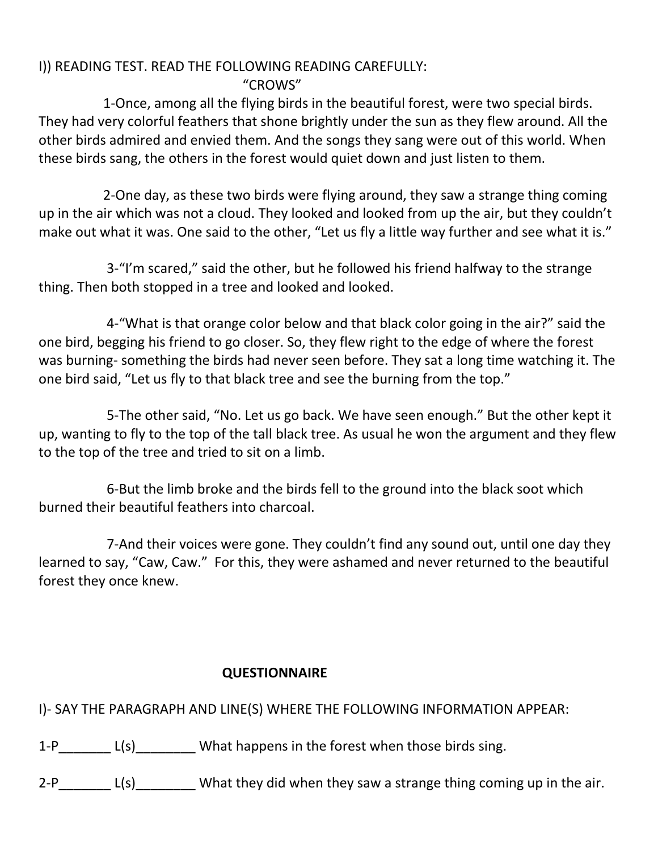## I)) READING TEST. READ THE FOLLOWING READING CAREFULLY: "CROWS"

 1-Once, among all the flying birds in the beautiful forest, were two special birds. They had very colorful feathers that shone brightly under the sun as they flew around. All the other birds admired and envied them. And the songs they sang were out of this world. When these birds sang, the others in the forest would quiet down and just listen to them.

 2-One day, as these two birds were flying around, they saw a strange thing coming up in the air which was not a cloud. They looked and looked from up the air, but they couldn't make out what it was. One said to the other, "Let us fly a little way further and see what it is."

 3-"I'm scared," said the other, but he followed his friend halfway to the strange thing. Then both stopped in a tree and looked and looked.

 4-"What is that orange color below and that black color going in the air?" said the one bird, begging his friend to go closer. So, they flew right to the edge of where the forest was burning- something the birds had never seen before. They sat a long time watching it. The one bird said, "Let us fly to that black tree and see the burning from the top."

 5-The other said, "No. Let us go back. We have seen enough." But the other kept it up, wanting to fly to the top of the tall black tree. As usual he won the argument and they flew to the top of the tree and tried to sit on a limb.

 6-But the limb broke and the birds fell to the ground into the black soot which burned their beautiful feathers into charcoal.

 7-And their voices were gone. They couldn't find any sound out, until one day they learned to say, "Caw, Caw." For this, they were ashamed and never returned to the beautiful forest they once knew.

## **QUESTIONNAIRE**

I)- SAY THE PARAGRAPH AND LINE(S) WHERE THE FOLLOWING INFORMATION APPEAR:

- 1-P L(s) What happens in the forest when those birds sing.
- $2-P$  L(s) What they did when they saw a strange thing coming up in the air.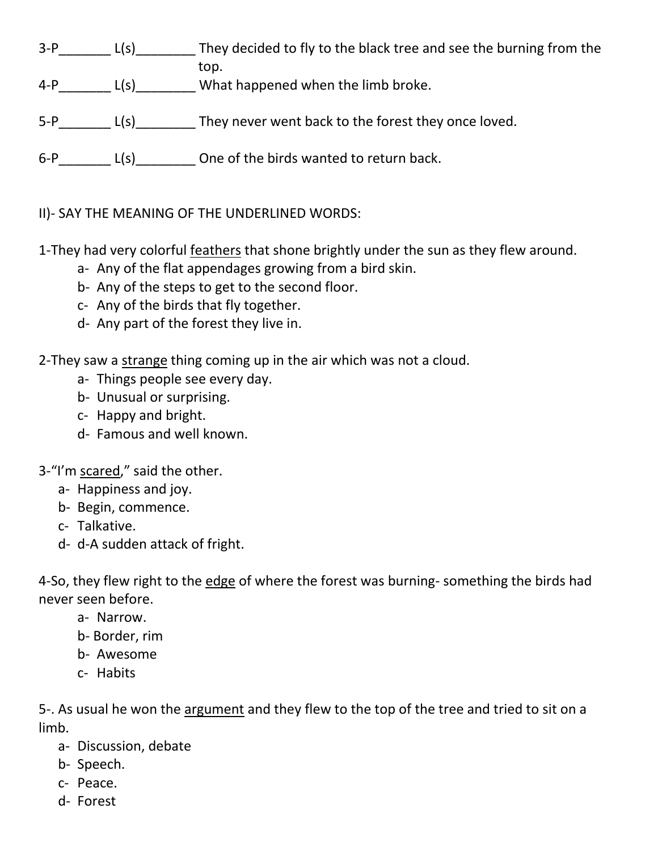- 3-P\_\_\_\_\_\_\_\_ L(s)\_\_\_\_\_\_\_\_\_\_ They decided to fly to the black tree and see the burning from the top.
- 4-P\_\_\_\_\_\_\_ L(s)\_\_\_\_\_\_\_\_ What happened when the limb broke.
- 5-P L(s) They never went back to the forest they once loved.
- $6-P$  L(s) One of the birds wanted to return back.

II)- SAY THE MEANING OF THE UNDERLINED WORDS:

1-They had very colorful feathers that shone brightly under the sun as they flew around.

- a- Any of the flat appendages growing from a bird skin.
- b- Any of the steps to get to the second floor.
- c- Any of the birds that fly together.
- d- Any part of the forest they live in.

2-They saw a strange thing coming up in the air which was not a cloud.

- a- Things people see every day.
- b- Unusual or surprising.
- c- Happy and bright.
- d- Famous and well known.

3-"I'm scared," said the other.

- a- Happiness and joy.
- b- Begin, commence.
- c- Talkative.
- d- d-A sudden attack of fright.

4-So, they flew right to the edge of where the forest was burning- something the birds had never seen before.

- a- Narrow.
- b- Border, rim
- b- Awesome
- c- Habits

5-. As usual he won the argument and they flew to the top of the tree and tried to sit on a limb.

- a- Discussion, debate
- b- Speech.
- c- Peace.
- d- Forest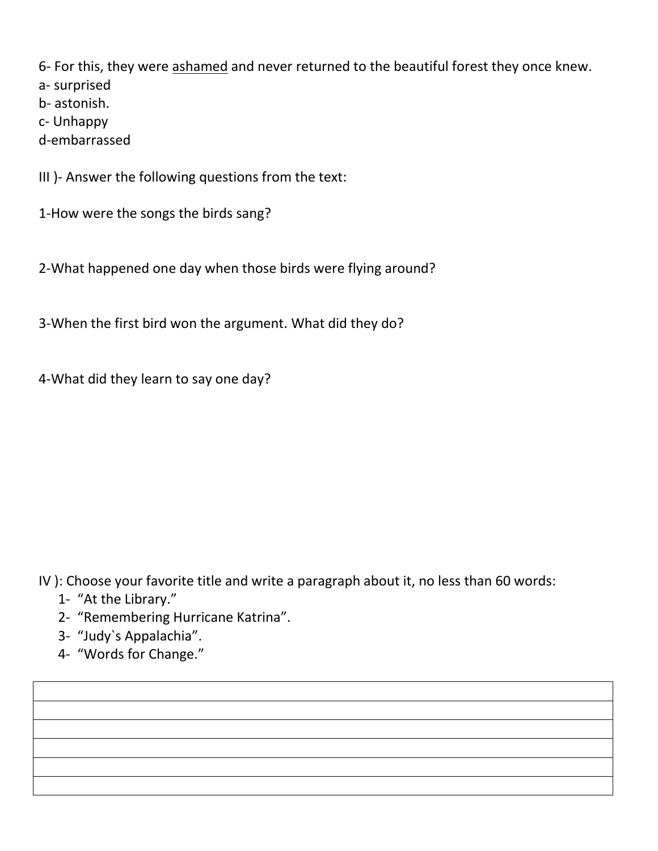6- For this, they were ashamed and never returned to the beautiful forest they once knew.

a- surprised

b- astonish.

c- Unhappy

d-embarrassed

III )- Answer the following questions from the text:

1-How were the songs the birds sang?

2-What happened one day when those birds were flying around?

3-When the first bird won the argument. What did they do?

4-What did they learn to say one day?

IV ): Choose your favorite title and write a paragraph about it, no less than 60 words:

- 1- "At the Library."
- 2- "Remembering Hurricane Katrina".
- 3- "Judy`s Appalachia".
- 4- "Words for Change."